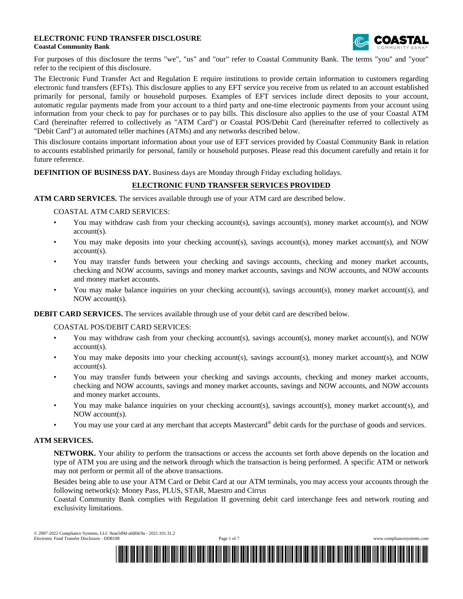#### **ELECTRONIC FUND TRANSFER DISCLOSURE Coastal Community Bank**



For purposes of this disclosure the terms "we", "us" and "our" refer to Coastal Community Bank. The terms "you" and "your" refer to the recipient of this disclosure.

The Electronic Fund Transfer Act and Regulation E require institutions to provide certain information to customers regarding electronic fund transfers (EFTs). This disclosure applies to any EFT service you receive from us related to an account established primarily for personal, family or household purposes. Examples of EFT services include direct deposits to your account, automatic regular payments made from your account to a third party and one-time electronic payments from your account using information from your check to pay for purchases or to pay bills. This disclosure also applies to the use of your Coastal ATM Card (hereinafter referred to collectively as "ATM Card") or Coastal POS/Debit Card (hereinafter referred to collectively as "Debit Card") at automated teller machines (ATMs) and any networks described below.

This disclosure contains important information about your use of EFT services provided by Coastal Community Bank in relation to accounts established primarily for personal, family or household purposes. Please read this document carefully and retain it for future reference.

**DEFINITION OF BUSINESS DAY.** Business days are Monday through Friday excluding holidays.

## **ELECTRONIC FUND TRANSFER SERVICES PROVIDED**

**ATM CARD SERVICES.** The services available through use of your ATM card are described below.

COASTAL ATM CARD SERVICES:

- You may withdraw cash from your checking account(s), savings account(s), money market account(s), and NOW account(s).
- You may make deposits into your checking account(s), savings account(s), money market account(s), and NOW account(s).
- You may transfer funds between your checking and savings accounts, checking and money market accounts, checking and NOW accounts, savings and money market accounts, savings and NOW accounts, and NOW accounts and money market accounts.
- You may make balance inquiries on your checking account(s), savings account(s), money market account(s), and NOW account(s).

**DEBIT CARD SERVICES.** The services available through use of your debit card are described below.

COASTAL POS/DEBIT CARD SERVICES:

- You may withdraw cash from your checking account(s), savings account(s), money market account(s), and NOW account(s).
- You may make deposits into your checking account(s), savings account(s), money market account(s), and NOW account(s).
- You may transfer funds between your checking and savings accounts, checking and money market accounts, checking and NOW accounts, savings and money market accounts, savings and NOW accounts, and NOW accounts and money market accounts.
- You may make balance inquiries on your checking account(s), savings account(s), money market account(s), and NOW account(s).
- You may use your card at any merchant that accepts Mastercard® debit cards for the purchase of goods and services.

#### **ATM SERVICES.**

**NETWORK.** Your ability to perform the transactions or access the accounts set forth above depends on the location and type of ATM you are using and the network through which the transaction is being performed. A specific ATM or network may not perform or permit all of the above transactions.

Besides being able to use your ATM Card or Debit Card at our ATM terminals, you may access your accounts through the following network(s): Money Pass, PLUS, STAR, Maestro and Cirrus

Coastal Community Bank complies with Regulation II governing debit card interchange fees and network routing and exclusivity limitations.

© 2007-2022 Compliance Systems, LLC 9eae5d9d-a0dfdc9a - 2021.101.31.2 Electronic Fund Transfer Disclosure - DD8108 Page 1 of 7 www.compliancesystems.com



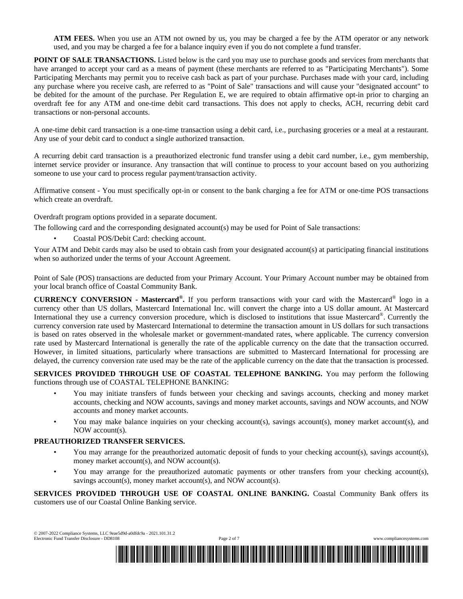**ATM FEES.** When you use an ATM not owned by us, you may be charged a fee by the ATM operator or any network used, and you may be charged a fee for a balance inquiry even if you do not complete a fund transfer.

**POINT OF SALE TRANSACTIONS.** Listed below is the card you may use to purchase goods and services from merchants that have arranged to accept your card as a means of payment (these merchants are referred to as "Participating Merchants"). Some Participating Merchants may permit you to receive cash back as part of your purchase. Purchases made with your card, including any purchase where you receive cash, are referred to as "Point of Sale" transactions and will cause your "designated account" to be debited for the amount of the purchase. Per Regulation E, we are required to obtain affirmative opt-in prior to charging an overdraft fee for any ATM and one-time debit card transactions. This does not apply to checks, ACH, recurring debit card transactions or non-personal accounts.

A one-time debit card transaction is a one-time transaction using a debit card, i.e., purchasing groceries or a meal at a restaurant. Any use of your debit card to conduct a single authorized transaction.

A recurring debit card transaction is a preauthorized electronic fund transfer using a debit card number, i.e., gym membership, internet service provider or insurance. Any transaction that will continue to process to your account based on you authorizing someone to use your card to process regular payment/transaction activity.

Affirmative consent - You must specifically opt-in or consent to the bank charging a fee for ATM or one-time POS transactions which create an overdraft.

Overdraft program options provided in a separate document.

The following card and the corresponding designated account(s) may be used for Point of Sale transactions:

• Coastal POS/Debit Card: checking account.

Your ATM and Debit cards may also be used to obtain cash from your designated account(s) at participating financial institutions when so authorized under the terms of your Account Agreement.

Point of Sale (POS) transactions are deducted from your Primary Account. Your Primary Account number may be obtained from your local branch office of Coastal Community Bank.

**CURRENCY CONVERSION - Mastercard® .** If you perform transactions with your card with the Mastercard® logo in a currency other than US dollars, Mastercard International Inc. will convert the charge into a US dollar amount. At Mastercard International they use a currency conversion procedure, which is disclosed to institutions that issue Mastercard®. Currently the currency conversion rate used by Mastercard International to determine the transaction amount in US dollars for such transactions is based on rates observed in the wholesale market or government-mandated rates, where applicable. The currency conversion rate used by Mastercard International is generally the rate of the applicable currency on the date that the transaction occurred. However, in limited situations, particularly where transactions are submitted to Mastercard International for processing are delayed, the currency conversion rate used may be the rate of the applicable currency on the date that the transaction is processed.

**SERVICES PROVIDED THROUGH USE OF COASTAL TELEPHONE BANKING.** You may perform the following functions through use of COASTAL TELEPHONE BANKING:

- You may initiate transfers of funds between your checking and savings accounts, checking and money market accounts, checking and NOW accounts, savings and money market accounts, savings and NOW accounts, and NOW accounts and money market accounts.
- You may make balance inquiries on your checking account(s), savings account(s), money market account(s), and NOW account(s).

#### **PREAUTHORIZED TRANSFER SERVICES.**

- You may arrange for the preauthorized automatic deposit of funds to your checking account(s), savings account(s), money market account(s), and NOW account(s).
- You may arrange for the preauthorized automatic payments or other transfers from your checking account(s), savings account(s), money market account(s), and NOW account(s).

**SERVICES PROVIDED THROUGH USE OF COASTAL ONLINE BANKING.** Coastal Community Bank offers its customers use of our Coastal Online Banking service.

© 2007-2022 Compliance Systems, LLC 9eae5d9d-a0dfdc9a - 2021.101.31.2 Electronic Fund Transfer Disclosure - DD8108 Page 2 of 7 www.compliancesystems.com

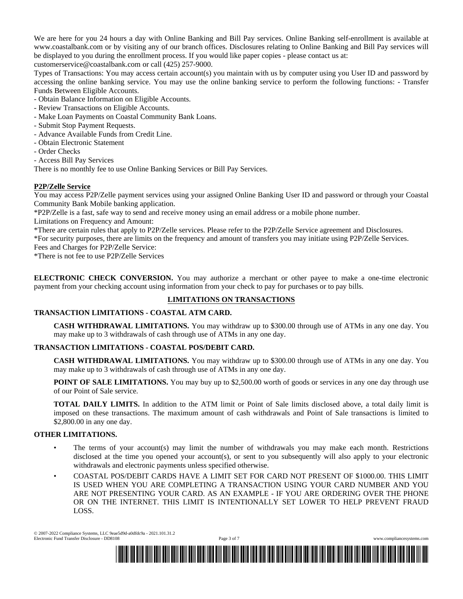We are here for you 24 hours a day with Online Banking and Bill Pay services. Online Banking self-enrollment is available at www.coastalbank.com or by visiting any of our branch offices. Disclosures relating to Online Banking and Bill Pay services will be displayed to you during the enrollment process. If you would like paper copies - please contact us at:

customerservice@coastalbank.com or call (425) 257-9000.

Types of Transactions: You may access certain account(s) you maintain with us by computer using you User ID and password by accessing the online banking service. You may use the online banking service to perform the following functions: - Transfer Funds Between Eligible Accounts.

- Obtain Balance Information on Eligible Accounts.
- Review Transactions on Eligible Accounts.
- Make Loan Payments on Coastal Community Bank Loans.
- Submit Stop Payment Requests.
- Advance Available Funds from Credit Line.
- Obtain Electronic Statement
- Order Checks
- Access Bill Pay Services

There is no monthly fee to use Online Banking Services or Bill Pay Services.

### **P2P/Zelle Service**

You may access P2P/Zelle payment services using your assigned Online Banking User ID and password or through your Coastal Community Bank Mobile banking application.

\*P2P/Zelle is a fast, safe way to send and receive money using an email address or a mobile phone number.

Limitations on Frequency and Amount:

\*There are certain rules that apply to P2P/Zelle services. Please refer to the P2P/Zelle Service agreement and Disclosures.

\*For security purposes, there are limits on the frequency and amount of transfers you may initiate using P2P/Zelle Services. Fees and Charges for P2P/Zelle Service:

\*There is not fee to use P2P/Zelle Services

**ELECTRONIC CHECK CONVERSION.** You may authorize a merchant or other payee to make a one-time electronic payment from your checking account using information from your check to pay for purchases or to pay bills.

# **LIMITATIONS ON TRANSACTIONS**

## **TRANSACTION LIMITATIONS - COASTAL ATM CARD.**

**CASH WITHDRAWAL LIMITATIONS.** You may withdraw up to \$300.00 through use of ATMs in any one day. You may make up to 3 withdrawals of cash through use of ATMs in any one day.

## **TRANSACTION LIMITATIONS - COASTAL POS/DEBIT CARD.**

**CASH WITHDRAWAL LIMITATIONS.** You may withdraw up to \$300.00 through use of ATMs in any one day. You may make up to 3 withdrawals of cash through use of ATMs in any one day.

**POINT OF SALE LIMITATIONS.** You may buy up to \$2,500.00 worth of goods or services in any one day through use of our Point of Sale service.

**TOTAL DAILY LIMITS.** In addition to the ATM limit or Point of Sale limits disclosed above, a total daily limit is imposed on these transactions. The maximum amount of cash withdrawals and Point of Sale transactions is limited to \$2,800.00 in any one day.

#### **OTHER LIMITATIONS.**

- The terms of your account(s) may limit the number of withdrawals you may make each month. Restrictions disclosed at the time you opened your account(s), or sent to you subsequently will also apply to your electronic withdrawals and electronic payments unless specified otherwise.
- COASTAL POS/DEBIT CARDS HAVE A LIMIT SET FOR CARD NOT PRESENT OF \$1000.00. THIS LIMIT IS USED WHEN YOU ARE COMPLETING A TRANSACTION USING YOUR CARD NUMBER AND YOU ARE NOT PRESENTING YOUR CARD. AS AN EXAMPLE - IF YOU ARE ORDERING OVER THE PHONE OR ON THE INTERNET. THIS LIMIT IS INTENTIONALLY SET LOWER TO HELP PREVENT FRAUD LOSS.

© 2007-2022 Compliance Systems, LLC 9eae5d9d-a0dfdc9a - 2021.101.31.2 Electronic Fund Transfer Disclosure - DD8108 Page 3 of 7 www.compliancesystems.com

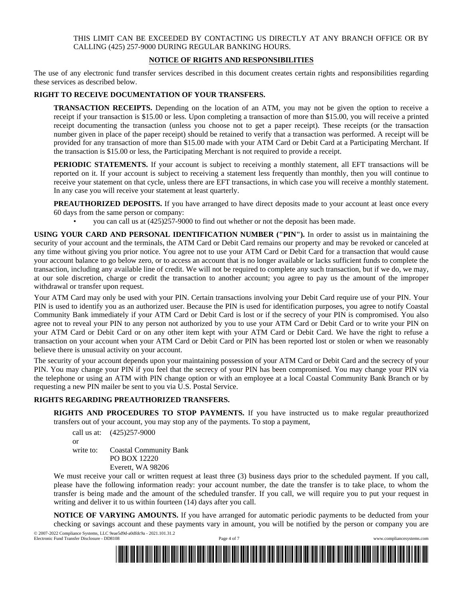### THIS LIMIT CAN BE EXCEEDED BY CONTACTING US DIRECTLY AT ANY BRANCH OFFICE OR BY CALLING (425) 257-9000 DURING REGULAR BANKING HOURS.

## **NOTICE OF RIGHTS AND RESPONSIBILITIES**

The use of any electronic fund transfer services described in this document creates certain rights and responsibilities regarding these services as described below.

## **RIGHT TO RECEIVE DOCUMENTATION OF YOUR TRANSFERS.**

**TRANSACTION RECEIPTS.** Depending on the location of an ATM, you may not be given the option to receive a receipt if your transaction is \$15.00 or less. Upon completing a transaction of more than \$15.00, you will receive a printed receipt documenting the transaction (unless you choose not to get a paper receipt). These receipts (or the transaction number given in place of the paper receipt) should be retained to verify that a transaction was performed. A receipt will be provided for any transaction of more than \$15.00 made with your ATM Card or Debit Card at a Participating Merchant. If the transaction is \$15.00 or less, the Participating Merchant is not required to provide a receipt.

**PERIODIC STATEMENTS.** If your account is subject to receiving a monthly statement, all EFT transactions will be reported on it. If your account is subject to receiving a statement less frequently than monthly, then you will continue to receive your statement on that cycle, unless there are EFT transactions, in which case you will receive a monthly statement. In any case you will receive your statement at least quarterly.

**PREAUTHORIZED DEPOSITS.** If you have arranged to have direct deposits made to your account at least once every 60 days from the same person or company:

• you can call us at (425)257-9000 to find out whether or not the deposit has been made.

**USING YOUR CARD AND PERSONAL IDENTIFICATION NUMBER ("PIN").** In order to assist us in maintaining the security of your account and the terminals, the ATM Card or Debit Card remains our property and may be revoked or canceled at any time without giving you prior notice. You agree not to use your ATM Card or Debit Card for a transaction that would cause your account balance to go below zero, or to access an account that is no longer available or lacks sufficient funds to complete the transaction, including any available line of credit. We will not be required to complete any such transaction, but if we do, we may, at our sole discretion, charge or credit the transaction to another account; you agree to pay us the amount of the improper withdrawal or transfer upon request.

Your ATM Card may only be used with your PIN. Certain transactions involving your Debit Card require use of your PIN. Your PIN is used to identify you as an authorized user. Because the PIN is used for identification purposes, you agree to notify Coastal Community Bank immediately if your ATM Card or Debit Card is lost or if the secrecy of your PIN is compromised. You also agree not to reveal your PIN to any person not authorized by you to use your ATM Card or Debit Card or to write your PIN on your ATM Card or Debit Card or on any other item kept with your ATM Card or Debit Card. We have the right to refuse a transaction on your account when your ATM Card or Debit Card or PIN has been reported lost or stolen or when we reasonably believe there is unusual activity on your account.

The security of your account depends upon your maintaining possession of your ATM Card or Debit Card and the secrecy of your PIN. You may change your PIN if you feel that the secrecy of your PIN has been compromised. You may change your PIN via the telephone or using an ATM with PIN change option or with an employee at a local Coastal Community Bank Branch or by requesting a new PIN mailer be sent to you via U.S. Postal Service.

## **RIGHTS REGARDING PREAUTHORIZED TRANSFERS.**

**RIGHTS AND PROCEDURES TO STOP PAYMENTS.** If you have instructed us to make regular preauthorized transfers out of your account, you may stop any of the payments. To stop a payment,

call us at: (425)257-9000 or write to: Coastal Community Bank PO BOX 12220 Everett, WA 98206

We must receive your call or written request at least three (3) business days prior to the scheduled payment. If you call, please have the following information ready: your account number, the date the transfer is to take place, to whom the transfer is being made and the amount of the scheduled transfer. If you call, we will require you to put your request in writing and deliver it to us within fourteen (14) days after you call.

**NOTICE OF VARYING AMOUNTS.** If you have arranged for automatic periodic payments to be deducted from your checking or savings account and these payments vary in amount, you will be notified by the person or company you are © 2007-2022 Compliance Systems, LLC 9eae5d9d-a0dfdc9a - 2021.101.31.2

Electronic Fund Transfer Disclosure - DD8108 Page 4 of 7 www.compliancesystems.com

\*BWY0000001600029886DD8108020320224\*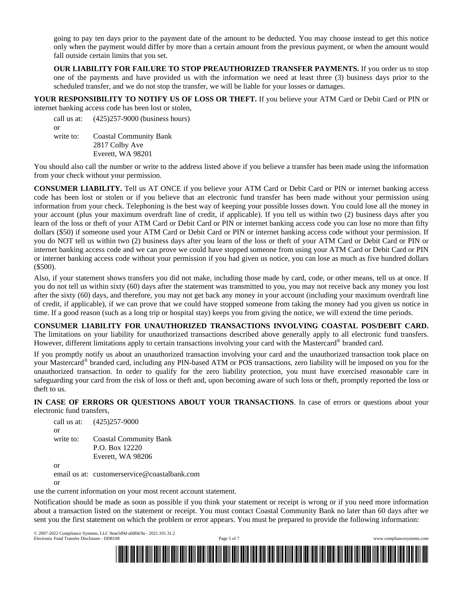going to pay ten days prior to the payment date of the amount to be deducted. You may choose instead to get this notice only when the payment would differ by more than a certain amount from the previous payment, or when the amount would fall outside certain limits that you set.

**OUR LIABILITY FOR FAILURE TO STOP PREAUTHORIZED TRANSFER PAYMENTS.** If you order us to stop one of the payments and have provided us with the information we need at least three (3) business days prior to the scheduled transfer, and we do not stop the transfer, we will be liable for your losses or damages.

**YOUR RESPONSIBILITY TO NOTIFY US OF LOSS OR THEFT.** If you believe your ATM Card or Debit Card or PIN or internet banking access code has been lost or stolen,

call us at: (425)257-9000 (business hours) or write to: Coastal Community Bank 2817 Colby Ave Everett, WA 98201

You should also call the number or write to the address listed above if you believe a transfer has been made using the information from your check without your permission.

**CONSUMER LIABILITY.** Tell us AT ONCE if you believe your ATM Card or Debit Card or PIN or internet banking access code has been lost or stolen or if you believe that an electronic fund transfer has been made without your permission using information from your check. Telephoning is the best way of keeping your possible losses down. You could lose all the money in your account (plus your maximum overdraft line of credit, if applicable). If you tell us within two (2) business days after you learn of the loss or theft of your ATM Card or Debit Card or PIN or internet banking access code you can lose no more than fifty dollars (\$50) if someone used your ATM Card or Debit Card or PIN or internet banking access code without your permission. If you do NOT tell us within two (2) business days after you learn of the loss or theft of your ATM Card or Debit Card or PIN or internet banking access code and we can prove we could have stopped someone from using your ATM Card or Debit Card or PIN or internet banking access code without your permission if you had given us notice, you can lose as much as five hundred dollars (\$500).

Also, if your statement shows transfers you did not make, including those made by card, code, or other means, tell us at once. If you do not tell us within sixty (60) days after the statement was transmitted to you, you may not receive back any money you lost after the sixty (60) days, and therefore, you may not get back any money in your account (including your maximum overdraft line of credit, if applicable), if we can prove that we could have stopped someone from taking the money had you given us notice in time. If a good reason (such as a long trip or hospital stay) keeps you from giving the notice, we will extend the time periods.

**CONSUMER LIABILITY FOR UNAUTHORIZED TRANSACTIONS INVOLVING COASTAL POS/DEBIT CARD.** The limitations on your liability for unauthorized transactions described above generally apply to all electronic fund transfers. However, different limitations apply to certain transactions involving your card with the Mastercard® branded card.

If you promptly notify us about an unauthorized transaction involving your card and the unauthorized transaction took place on your Mastercard® branded card, including any PIN-based ATM or POS transactions, zero liability will be imposed on you for the unauthorized transaction. In order to qualify for the zero liability protection, you must have exercised reasonable care in safeguarding your card from the risk of loss or theft and, upon becoming aware of such loss or theft, promptly reported the loss or theft to us.

**IN CASE OF ERRORS OR QUESTIONS ABOUT YOUR TRANSACTIONS**. In case of errors or questions about your electronic fund transfers,

call us at: (425)257-9000 or write to: Coastal Community Bank P.O. Box 12220 Everett, WA 98206 or

email us at: customerservice@coastalbank.com

or

use the current information on your most recent account statement.

Notification should be made as soon as possible if you think your statement or receipt is wrong or if you need more information about a transaction listed on the statement or receipt. You must contact Coastal Community Bank no later than 60 days after we sent you the first statement on which the problem or error appears. You must be prepared to provide the following information:

© 2007-2022 Compliance Systems, LLC 9eae5d9d-a0dfdc9a - 2021.101.31.2 Electronic Fund Transfer Disclosure - DD8108 Page 5 of 7 www.compliancesystems.com

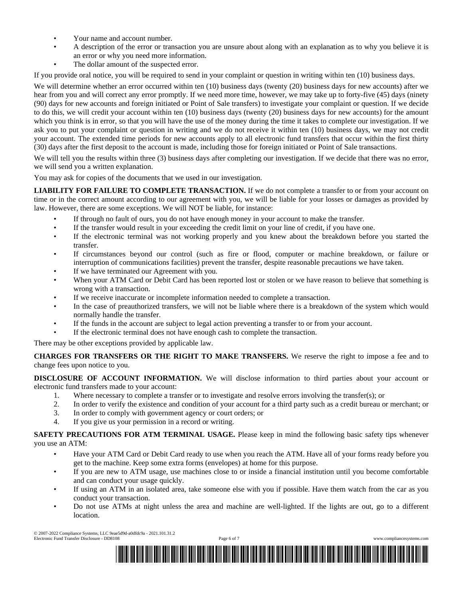- Your name and account number.
- A description of the error or transaction you are unsure about along with an explanation as to why you believe it is an error or why you need more information.
- The dollar amount of the suspected error.

If you provide oral notice, you will be required to send in your complaint or question in writing within ten (10) business days.

We will determine whether an error occurred within ten (10) business days (twenty (20) business days for new accounts) after we hear from you and will correct any error promptly. If we need more time, however, we may take up to forty-five (45) days (ninety (90) days for new accounts and foreign initiated or Point of Sale transfers) to investigate your complaint or question. If we decide to do this, we will credit your account within ten (10) business days (twenty (20) business days for new accounts) for the amount which you think is in error, so that you will have the use of the money during the time it takes to complete our investigation. If we ask you to put your complaint or question in writing and we do not receive it within ten (10) business days, we may not credit your account. The extended time periods for new accounts apply to all electronic fund transfers that occur within the first thirty (30) days after the first deposit to the account is made, including those for foreign initiated or Point of Sale transactions.

We will tell you the results within three (3) business days after completing our investigation. If we decide that there was no error, we will send you a written explanation.

You may ask for copies of the documents that we used in our investigation.

**LIABILITY FOR FAILURE TO COMPLETE TRANSACTION.** If we do not complete a transfer to or from your account on time or in the correct amount according to our agreement with you, we will be liable for your losses or damages as provided by law. However, there are some exceptions. We will NOT be liable, for instance:

- If through no fault of ours, you do not have enough money in your account to make the transfer.
- If the transfer would result in your exceeding the credit limit on your line of credit, if you have one.
- If the electronic terminal was not working properly and you knew about the breakdown before you started the transfer.
- If circumstances beyond our control (such as fire or flood, computer or machine breakdown, or failure or interruption of communications facilities) prevent the transfer, despite reasonable precautions we have taken.
- If we have terminated our Agreement with you.
- When your ATM Card or Debit Card has been reported lost or stolen or we have reason to believe that something is wrong with a transaction.
- If we receive inaccurate or incomplete information needed to complete a transaction.
- In the case of preauthorized transfers, we will not be liable where there is a breakdown of the system which would normally handle the transfer.
- If the funds in the account are subject to legal action preventing a transfer to or from your account.
- If the electronic terminal does not have enough cash to complete the transaction.

There may be other exceptions provided by applicable law.

**CHARGES FOR TRANSFERS OR THE RIGHT TO MAKE TRANSFERS.** We reserve the right to impose a fee and to change fees upon notice to you.

**DISCLOSURE OF ACCOUNT INFORMATION.** We will disclose information to third parties about your account or electronic fund transfers made to your account:

- 1. Where necessary to complete a transfer or to investigate and resolve errors involving the transfer(s); or
- 2. In order to verify the existence and condition of your account for a third party such as a credit bureau or merchant; or
- 3. In order to comply with government agency or court orders; or
- 4. If you give us your permission in a record or writing.

**SAFETY PRECAUTIONS FOR ATM TERMINAL USAGE.** Please keep in mind the following basic safety tips whenever you use an ATM:

- Have your ATM Card or Debit Card ready to use when you reach the ATM. Have all of your forms ready before you get to the machine. Keep some extra forms (envelopes) at home for this purpose.
- If you are new to ATM usage, use machines close to or inside a financial institution until you become comfortable and can conduct your usage quickly.
- If using an ATM in an isolated area, take someone else with you if possible. Have them watch from the car as you conduct your transaction.
- Do not use ATMs at night unless the area and machine are well-lighted. If the lights are out, go to a different location.

© 2007-2022 Compliance Systems, LLC 9eae5d9d-a0dfdc9a - 2021.101.31.2 Electronic Fund Transfer Disclosure - DD8108 Page 6 of 7 www.compliancesystems.com